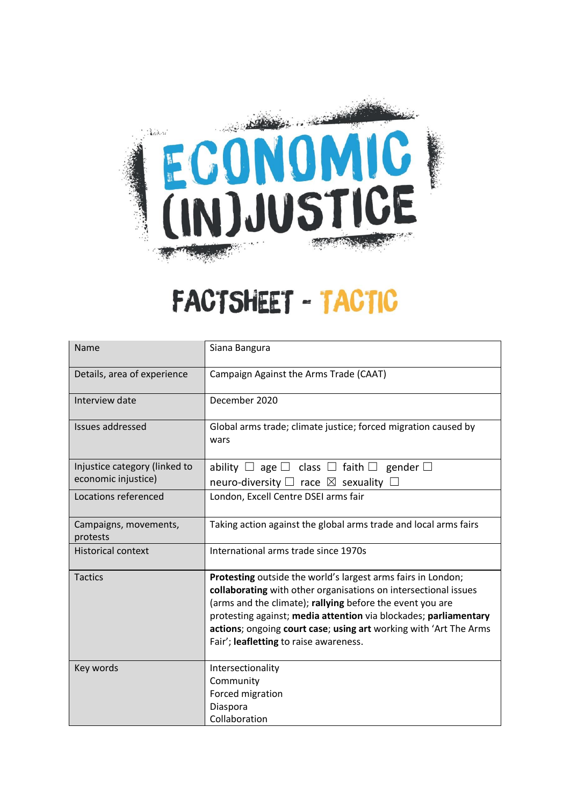

## FACTSHEET - TACTIC

| Name                              | Siana Bangura                                                                                                                                                                                                                                                                                                                                                                   |
|-----------------------------------|---------------------------------------------------------------------------------------------------------------------------------------------------------------------------------------------------------------------------------------------------------------------------------------------------------------------------------------------------------------------------------|
| Details, area of experience       | Campaign Against the Arms Trade (CAAT)                                                                                                                                                                                                                                                                                                                                          |
| Interview date                    | December 2020                                                                                                                                                                                                                                                                                                                                                                   |
| Issues addressed                  | Global arms trade; climate justice; forced migration caused by<br>wars                                                                                                                                                                                                                                                                                                          |
| Injustice category (linked to     | ability $\Box$ age $\Box$ class $\Box$ faith $\Box$ gender $\Box$                                                                                                                                                                                                                                                                                                               |
| economic injustice)               | neuro-diversity $\Box$ race $\boxtimes$ sexuality $\Box$                                                                                                                                                                                                                                                                                                                        |
| Locations referenced              | London, Excell Centre DSEI arms fair                                                                                                                                                                                                                                                                                                                                            |
| Campaigns, movements,<br>protests | Taking action against the global arms trade and local arms fairs                                                                                                                                                                                                                                                                                                                |
| <b>Historical context</b>         | International arms trade since 1970s                                                                                                                                                                                                                                                                                                                                            |
| <b>Tactics</b>                    | Protesting outside the world's largest arms fairs in London;<br>collaborating with other organisations on intersectional issues<br>(arms and the climate); rallying before the event you are<br>protesting against; media attention via blockades; parliamentary<br>actions; ongoing court case; using art working with 'Art The Arms<br>Fair'; leafletting to raise awareness. |
| Key words                         | Intersectionality<br>Community<br>Forced migration<br>Diaspora<br>Collaboration                                                                                                                                                                                                                                                                                                 |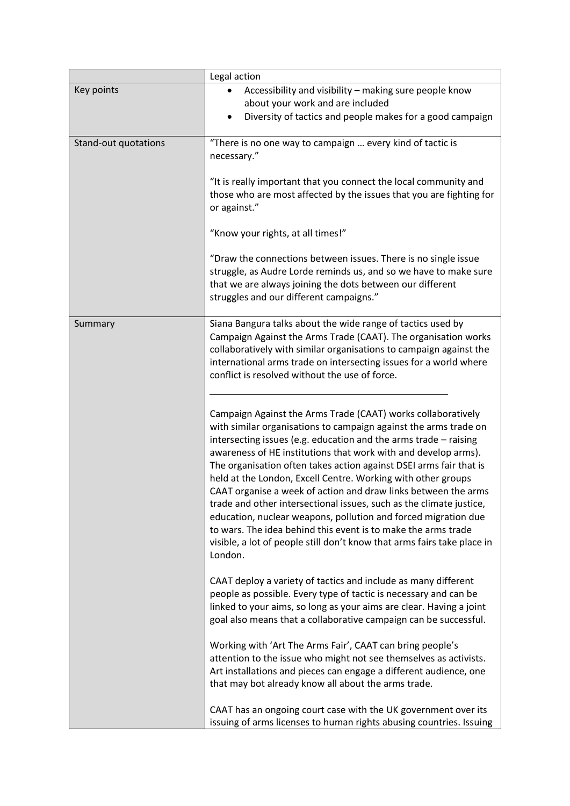|                      | Legal action                                                                                                                                                                                                                                                                                                                                                                                                                                                                                                                                                                                                                                                                                                                                                                                                                                                                                                                                                                                                                                                                                                                                                                                                                                                                                                                                                                                                                                                                                                                                                                                                                                                                                                                                                                                         |
|----------------------|------------------------------------------------------------------------------------------------------------------------------------------------------------------------------------------------------------------------------------------------------------------------------------------------------------------------------------------------------------------------------------------------------------------------------------------------------------------------------------------------------------------------------------------------------------------------------------------------------------------------------------------------------------------------------------------------------------------------------------------------------------------------------------------------------------------------------------------------------------------------------------------------------------------------------------------------------------------------------------------------------------------------------------------------------------------------------------------------------------------------------------------------------------------------------------------------------------------------------------------------------------------------------------------------------------------------------------------------------------------------------------------------------------------------------------------------------------------------------------------------------------------------------------------------------------------------------------------------------------------------------------------------------------------------------------------------------------------------------------------------------------------------------------------------------|
| Key points           | Accessibility and visibility - making sure people know<br>about your work and are included<br>Diversity of tactics and people makes for a good campaign                                                                                                                                                                                                                                                                                                                                                                                                                                                                                                                                                                                                                                                                                                                                                                                                                                                                                                                                                                                                                                                                                                                                                                                                                                                                                                                                                                                                                                                                                                                                                                                                                                              |
| Stand-out quotations | "There is no one way to campaign  every kind of tactic is<br>necessary."<br>"It is really important that you connect the local community and<br>those who are most affected by the issues that you are fighting for<br>or against."<br>"Know your rights, at all times!"<br>"Draw the connections between issues. There is no single issue<br>struggle, as Audre Lorde reminds us, and so we have to make sure<br>that we are always joining the dots between our different<br>struggles and our different campaigns."                                                                                                                                                                                                                                                                                                                                                                                                                                                                                                                                                                                                                                                                                                                                                                                                                                                                                                                                                                                                                                                                                                                                                                                                                                                                               |
| Summary              | Siana Bangura talks about the wide range of tactics used by<br>Campaign Against the Arms Trade (CAAT). The organisation works<br>collaboratively with similar organisations to campaign against the<br>international arms trade on intersecting issues for a world where<br>conflict is resolved without the use of force.<br>Campaign Against the Arms Trade (CAAT) works collaboratively<br>with similar organisations to campaign against the arms trade on<br>intersecting issues (e.g. education and the arms trade - raising<br>awareness of HE institutions that work with and develop arms).<br>The organisation often takes action against DSEI arms fair that is<br>held at the London, Excell Centre. Working with other groups<br>CAAT organise a week of action and draw links between the arms<br>trade and other intersectional issues, such as the climate justice,<br>education, nuclear weapons, pollution and forced migration due<br>to wars. The idea behind this event is to make the arms trade<br>visible, a lot of people still don't know that arms fairs take place in<br>London.<br>CAAT deploy a variety of tactics and include as many different<br>people as possible. Every type of tactic is necessary and can be<br>linked to your aims, so long as your aims are clear. Having a joint<br>goal also means that a collaborative campaign can be successful.<br>Working with 'Art The Arms Fair', CAAT can bring people's<br>attention to the issue who might not see themselves as activists.<br>Art installations and pieces can engage a different audience, one<br>that may bot already know all about the arms trade.<br>CAAT has an ongoing court case with the UK government over its<br>issuing of arms licenses to human rights abusing countries. Issuing |